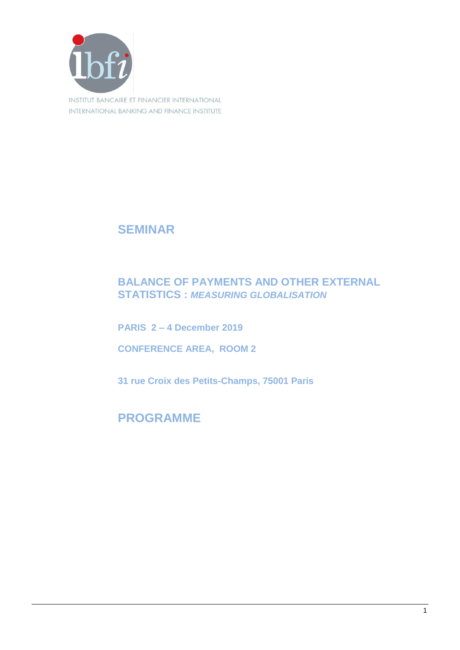

**SEMINAR**

## **BALANCE OF PAYMENTS AND OTHER EXTERNAL STATISTICS :** *MEASURING GLOBALISATION*

**PARIS 2 – 4 December 2019**

**CONFERENCE AREA, ROOM 2**

**31 rue Croix des Petits-Champs, 75001 Paris**

## **PROGRAMME**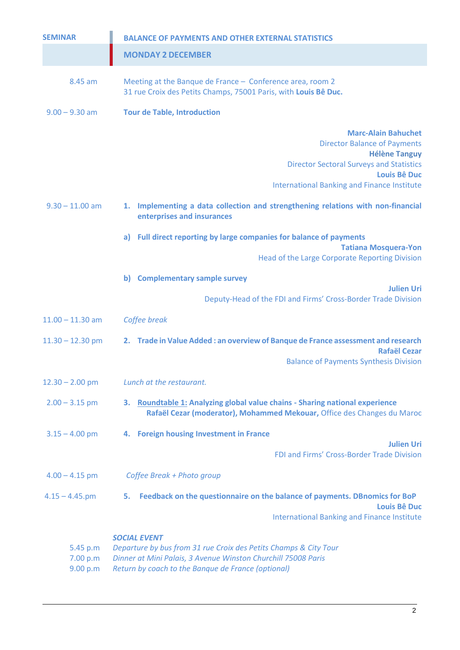| <b>SEMINAR</b>                   | <b>BALANCE OF PAYMENTS AND OTHER EXTERNAL STATISTICS</b>                                                                                                                                                                  |
|----------------------------------|---------------------------------------------------------------------------------------------------------------------------------------------------------------------------------------------------------------------------|
|                                  | <b>MONDAY 2 DECEMBER</b>                                                                                                                                                                                                  |
| 8.45 am                          | Meeting at the Banque de France - Conference area, room 2<br>31 rue Croix des Petits Champs, 75001 Paris, with Louis Bê Duc.                                                                                              |
| $9.00 - 9.30$ am                 | <b>Tour de Table, Introduction</b>                                                                                                                                                                                        |
|                                  | <b>Marc-Alain Bahuchet</b><br><b>Director Balance of Payments</b><br><b>Hélène Tanguy</b><br><b>Director Sectoral Surveys and Statistics</b><br><b>Louis Bê Duc</b><br><b>International Banking and Finance Institute</b> |
| $9.30 - 11.00$ am                | 1. Implementing a data collection and strengthening relations with non-financial<br>enterprises and insurances                                                                                                            |
|                                  | Full direct reporting by large companies for balance of payments<br>a)<br><b>Tatiana Mosquera-Yon</b><br>Head of the Large Corporate Reporting Division                                                                   |
|                                  | b) Complementary sample survey                                                                                                                                                                                            |
|                                  | <b>Julien Uri</b><br>Deputy-Head of the FDI and Firms' Cross-Border Trade Division                                                                                                                                        |
| $11.00 - 11.30$ am               | Coffee break                                                                                                                                                                                                              |
| $11.30 - 12.30$ pm               | 2. Trade in Value Added : an overview of Banque de France assessment and research<br><b>Rafaël Cezar</b><br><b>Balance of Payments Synthesis Division</b>                                                                 |
| $12.30 - 2.00$ pm                | Lunch at the restaurant.                                                                                                                                                                                                  |
| $2.00 - 3.15$ pm                 | Roundtable 1: Analyzing global value chains - Sharing national experience<br>3.<br>Rafaël Cezar (moderator), Mohammed Mekouar, Office des Changes du Maroc                                                                |
| $3.15 - 4.00$ pm                 | <b>Foreign housing Investment in France</b><br>4.<br><b>Julien Uri</b>                                                                                                                                                    |
|                                  | FDI and Firms' Cross-Border Trade Division                                                                                                                                                                                |
| $4.00 - 4.15$ pm                 | Coffee Break + Photo group                                                                                                                                                                                                |
| $4.15 - 4.45$ .pm                | Feedback on the questionnaire on the balance of payments. DBnomics for BoP<br>5.<br><b>Louis Bê Duc</b>                                                                                                                   |
|                                  | <b>International Banking and Finance Institute</b>                                                                                                                                                                        |
| 5.45 p.m<br>7.00 p.m<br>9.00 p.m | <b>SOCIAL EVENT</b><br>Departure by bus from 31 rue Croix des Petits Champs & City Tour<br>Dinner at Mini Palais, 3 Avenue Winston Churchill 75008 Paris<br>Return by coach to the Banque de France (optional)            |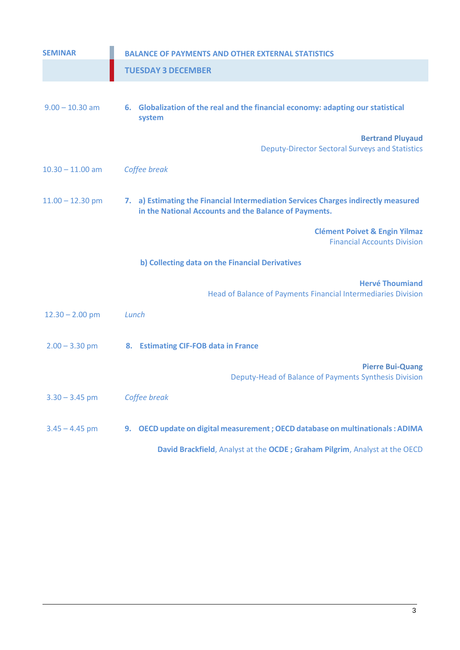| <b>SEMINAR</b>     | <b>BALANCE OF PAYMENTS AND OTHER EXTERNAL STATISTICS</b>                                                                                    |
|--------------------|---------------------------------------------------------------------------------------------------------------------------------------------|
|                    | <b>TUESDAY 3 DECEMBER</b>                                                                                                                   |
| $9.00 - 10.30$ am  | 6. Globalization of the real and the financial economy: adapting our statistical<br>system                                                  |
|                    | <b>Bertrand Pluyaud</b><br><b>Deputy-Director Sectoral Surveys and Statistics</b>                                                           |
| $10.30 - 11.00$ am | Coffee break                                                                                                                                |
| $11.00 - 12.30$ pm | 7. a) Estimating the Financial Intermediation Services Charges indirectly measured<br>in the National Accounts and the Balance of Payments. |
|                    | <b>Clément Poivet &amp; Engin Yilmaz</b><br><b>Financial Accounts Division</b>                                                              |
|                    | b) Collecting data on the Financial Derivatives                                                                                             |
|                    | <b>Hervé Thoumiand</b><br>Head of Balance of Payments Financial Intermediaries Division                                                     |
| $12.30 - 2.00$ pm  | Lunch                                                                                                                                       |
| $2.00 - 3.30$ pm   | 8. Estimating CIF-FOB data in France                                                                                                        |
|                    | <b>Pierre Bui-Quang</b><br>Deputy-Head of Balance of Payments Synthesis Division                                                            |
| $3.30 - 3.45$ pm   | Coffee break                                                                                                                                |
| $3.45 - 4.45$ pm   | OECD update on digital measurement ; OECD database on multinationals : ADIMA<br>9.                                                          |
|                    | David Brackfield, Analyst at the OCDE; Graham Pilgrim, Analyst at the OECD                                                                  |